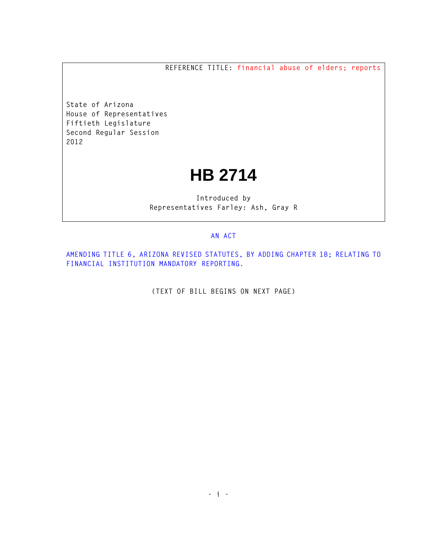**REFERENCE TITLE: financial abuse of elders; reports**

**State of Arizona House of Representatives Fiftieth Legislature Second Regular Session 2012** 

## **HB 2714**

**Introduced by Representatives Farley: Ash, Gray R** 

## **AN ACT**

**AMENDING TITLE 6, ARIZONA REVISED STATUTES, BY ADDING CHAPTER 18; RELATING TO FINANCIAL INSTITUTION MANDATORY REPORTING.** 

**(TEXT OF BILL BEGINS ON NEXT PAGE)**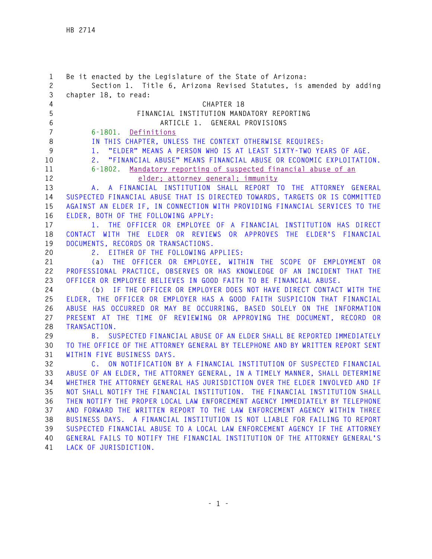| 1<br>$\mathbf{2}$ | Be it enacted by the Legislature of the State of Arizona:<br>Section 1. Title 6, Arizona Revised Statutes, is amended by adding                             |
|-------------------|-------------------------------------------------------------------------------------------------------------------------------------------------------------|
| 3                 | chapter 18, to read:                                                                                                                                        |
| 4                 | CHAPTER 18                                                                                                                                                  |
| 5                 | FINANCIAL INSTITUTION MANDATORY REPORTING                                                                                                                   |
| 6                 | ARTICLE 1. GENERAL PROVISIONS                                                                                                                               |
| $\overline{7}$    | 6-1801. Definitions                                                                                                                                         |
| 8                 | IN THIS CHAPTER, UNLESS THE CONTEXT OTHERWISE REQUIRES:                                                                                                     |
| 9                 | "ELDER" MEANS A PERSON WHO IS AT LEAST SIXTY-TWO YEARS OF AGE.<br>1.                                                                                        |
| 10                | "FINANCIAL ABUSE" MEANS FINANCIAL ABUSE OR ECONOMIC EXPLOITATION.<br>2.                                                                                     |
| 11                | 6-1802. Mandatory reporting of suspected financial abuse of an                                                                                              |
| 12                | elder; attorney general; immunity                                                                                                                           |
| 13                | A FINANCIAL INSTITUTION SHALL REPORT TO THE ATTORNEY GENERAL<br>A.,                                                                                         |
| 14                | SUSPECTED FINANCIAL ABUSE THAT IS DIRECTED TOWARDS, TARGETS OR IS COMMITTED                                                                                 |
| 15                | AGAINST AN ELDER IF, IN CONNECTION WITH PROVIDING FINANCIAL SERVICES TO THE                                                                                 |
| 16                | ELDER, BOTH OF THE FOLLOWING APPLY:                                                                                                                         |
| 17                | 1. THE OFFICER OR EMPLOYEE OF A FINANCIAL INSTITUTION HAS DIRECT                                                                                            |
| 18                | CONTACT WITH THE ELDER OR REVIEWS OR APPROVES THE ELDER'S FINANCIAL                                                                                         |
| 19                | DOCUMENTS, RECORDS OR TRANSACTIONS.                                                                                                                         |
| 20                | 2. EITHER OF THE FOLLOWING APPLIES:                                                                                                                         |
| 21                | (a) THE OFFICER OR EMPLOYEE, WITHIN THE SCOPE OF EMPLOYMENT OR                                                                                              |
| 22                | PROFESSIONAL PRACTICE, OBSERVES OR HAS KNOWLEDGE OF AN INCIDENT THAT THE                                                                                    |
| 23                | OFFICER OR EMPLOYEE BELIEVES IN GOOD FAITH TO BE FINANCIAL ABUSE.                                                                                           |
| 24                | IF THE OFFICER OR EMPLOYER DOES NOT HAVE DIRECT CONTACT WITH THE<br>(b)                                                                                     |
| 25                | ELDER, THE OFFICER OR EMPLOYER HAS A GOOD FAITH SUSPICION THAT FINANCIAL                                                                                    |
| 26                | ABUSE HAS OCCURRED OR MAY BE OCCURRING, BASED SOLELY ON THE INFORMATION                                                                                     |
| 27                | PRESENT AT THE TIME OF REVIEWING OR APPROVING THE DOCUMENT, RECORD OR                                                                                       |
| 28                | TRANSACTION.                                                                                                                                                |
| 29                | SUSPECTED FINANCIAL ABUSE OF AN ELDER SHALL BE REPORTED IMMEDIATELY<br>B.                                                                                   |
| 30                | TO THE OFFICE OF THE ATTORNEY GENERAL BY TELEPHONE AND BY WRITTEN REPORT SENT                                                                               |
| 31                | WITHIN FIVE BUSINESS DAYS.                                                                                                                                  |
| 32                | C. ON NOTIFICATION BY A FINANCIAL INSTITUTION OF SUSPECTED FINANCIAL                                                                                        |
| 33                | ABUSE OF AN ELDER, THE ATTORNEY GENERAL, IN A TIMELY MANNER, SHALL DETERMINE                                                                                |
| 34                | WHETHER THE ATTORNEY GENERAL HAS JURISDICTION OVER THE ELDER INVOLVED AND IF                                                                                |
| 35<br>36          | NOT SHALL NOTIFY THE FINANCIAL INSTITUTION. THE FINANCIAL INSTITUTION SHALL<br>THEN NOTIFY THE PROPER LOCAL LAW ENFORCEMENT AGENCY IMMEDIATELY BY TELEPHONE |
| 37                | AND FORWARD THE WRITTEN REPORT TO THE LAW ENFORCEMENT AGENCY WITHIN THREE                                                                                   |
| 38                | BUSINESS DAYS. A FINANCIAL INSTITUTION IS NOT LIABLE FOR FAILING TO REPORT                                                                                  |
| 39                | SUSPECTED FINANCIAL ABUSE TO A LOCAL LAW ENFORCEMENT AGENCY IF THE ATTORNEY                                                                                 |
| 40                | GENERAL FAILS TO NOTIFY THE FINANCIAL INSTITUTION OF THE ATTORNEY GENERAL'S                                                                                 |
| 41                | LACK OF JURISDICTION.                                                                                                                                       |
|                   |                                                                                                                                                             |